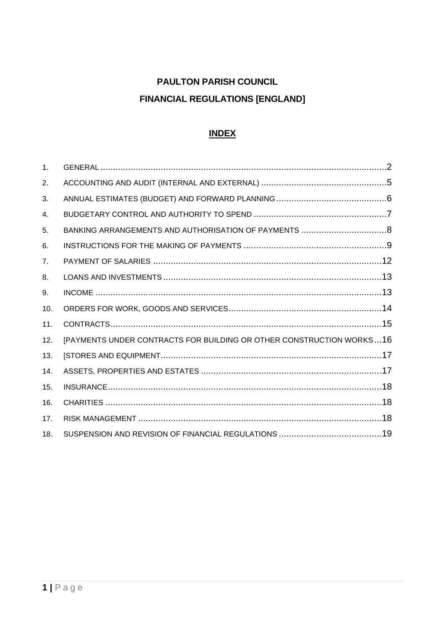# **PAULTON PARISH COUNCIL FINANCIAL REGULATIONS [ENGLAND]**

# **INDEX**

| 1.             |                                                                      |  |
|----------------|----------------------------------------------------------------------|--|
| 2.             |                                                                      |  |
| 3.             |                                                                      |  |
| 4.             |                                                                      |  |
| 5.             |                                                                      |  |
| 6.             |                                                                      |  |
| 7 <sub>1</sub> |                                                                      |  |
| 8.             |                                                                      |  |
| 9.             |                                                                      |  |
| 10.            |                                                                      |  |
| 11.            |                                                                      |  |
| 12.            | [PAYMENTS UNDER CONTRACTS FOR BUILDING OR OTHER CONSTRUCTION WORKS16 |  |
| 13.            |                                                                      |  |
| 14.            |                                                                      |  |
| 15.            |                                                                      |  |
| 16.            |                                                                      |  |
| 17.            |                                                                      |  |
| 18.            |                                                                      |  |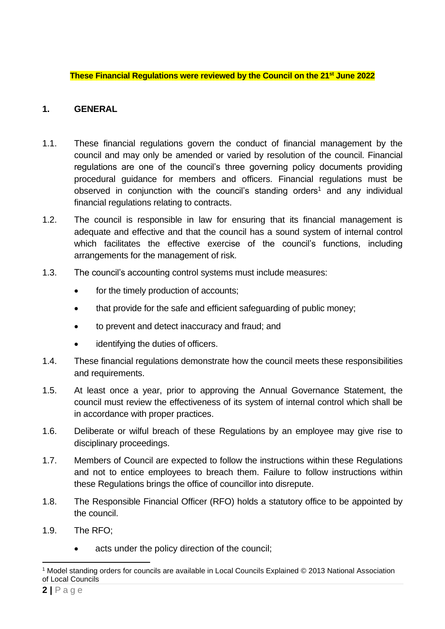**These Financial Regulations were reviewed by the Council on the 21st June 2022**

# <span id="page-1-0"></span>**1. GENERAL**

- 1.1. These financial regulations govern the conduct of financial management by the council and may only be amended or varied by resolution of the council. Financial regulations are one of the council's three governing policy documents providing procedural guidance for members and officers. Financial regulations must be observed in conjunction with the council's standing orders<sup>1</sup> and any individual financial regulations relating to contracts.
- 1.2. The council is responsible in law for ensuring that its financial management is adequate and effective and that the council has a sound system of internal control which facilitates the effective exercise of the council's functions, including arrangements for the management of risk.
- 1.3. The council's accounting control systems must include measures:
	- for the timely production of accounts:
	- that provide for the safe and efficient safeguarding of public money;
	- to prevent and detect inaccuracy and fraud; and
	- identifying the duties of officers.
- 1.4. These financial regulations demonstrate how the council meets these responsibilities and requirements.
- 1.5. At least once a year, prior to approving the Annual Governance Statement, the council must review the effectiveness of its system of internal control which shall be in accordance with proper practices.
- 1.6. Deliberate or wilful breach of these Regulations by an employee may give rise to disciplinary proceedings.
- 1.7. Members of Council are expected to follow the instructions within these Regulations and not to entice employees to breach them. Failure to follow instructions within these Regulations brings the office of councillor into disrepute.
- 1.8. The Responsible Financial Officer (RFO) holds a statutory office to be appointed by the council.
- 1.9. The RFO;
	- acts under the policy direction of the council;

<sup>1</sup> Model standing orders for councils are available in Local Councils Explained © 2013 National Association of Local Councils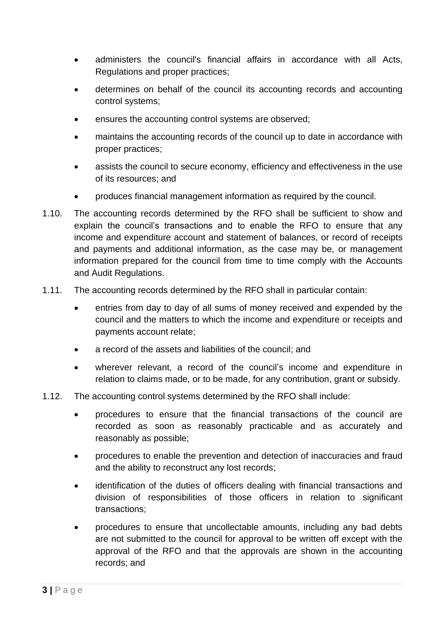- administers the council's financial affairs in accordance with all Acts, Regulations and proper practices;
- determines on behalf of the council its accounting records and accounting control systems;
- ensures the accounting control systems are observed;
- maintains the accounting records of the council up to date in accordance with proper practices;
- assists the council to secure economy, efficiency and effectiveness in the use of its resources; and
- produces financial management information as required by the council.
- 1.10. The accounting records determined by the RFO shall be sufficient to show and explain the council's transactions and to enable the RFO to ensure that any income and expenditure account and statement of balances, or record of receipts and payments and additional information, as the case may be, or management information prepared for the council from time to time comply with the Accounts and Audit Regulations.
- 1.11. The accounting records determined by the RFO shall in particular contain:
	- entries from day to day of all sums of money received and expended by the council and the matters to which the income and expenditure or receipts and payments account relate;
	- a record of the assets and liabilities of the council; and
	- wherever relevant, a record of the council's income and expenditure in relation to claims made, or to be made, for any contribution, grant or subsidy.
- 1.12. The accounting control systems determined by the RFO shall include:
	- procedures to ensure that the financial transactions of the council are recorded as soon as reasonably practicable and as accurately and reasonably as possible;
	- procedures to enable the prevention and detection of inaccuracies and fraud and the ability to reconstruct any lost records;
	- identification of the duties of officers dealing with financial transactions and division of responsibilities of those officers in relation to significant transactions;
	- procedures to ensure that uncollectable amounts, including any bad debts are not submitted to the council for approval to be written off except with the approval of the RFO and that the approvals are shown in the accounting records; and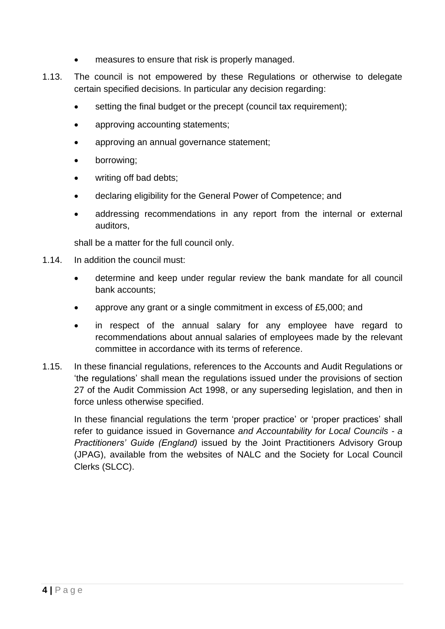- measures to ensure that risk is properly managed.
- 1.13. The council is not empowered by these Regulations or otherwise to delegate certain specified decisions. In particular any decision regarding:
	- setting the final budget or the precept (council tax requirement);
	- approving accounting statements;
	- approving an annual governance statement;
	- borrowing;
	- writing off bad debts:
	- declaring eligibility for the General Power of Competence; and
	- addressing recommendations in any report from the internal or external auditors,

shall be a matter for the full council only.

- 1.14. In addition the council must:
	- determine and keep under regular review the bank mandate for all council bank accounts;
	- approve any grant or a single commitment in excess of £5,000; and
	- in respect of the annual salary for any employee have regard to recommendations about annual salaries of employees made by the relevant committee in accordance with its terms of reference.
- 1.15. In these financial regulations, references to the Accounts and Audit Regulations or 'the regulations' shall mean the regulations issued under the provisions of section 27 of the Audit Commission Act 1998, or any superseding legislation, and then in force unless otherwise specified.

<span id="page-3-0"></span>In these financial regulations the term 'proper practice' or 'proper practices' shall refer to guidance issued in Governance *and Accountability for Local Councils - a Practitioners' Guide (England)* issued by the Joint Practitioners Advisory Group (JPAG), available from the websites of NALC and the Society for Local Council Clerks (SLCC).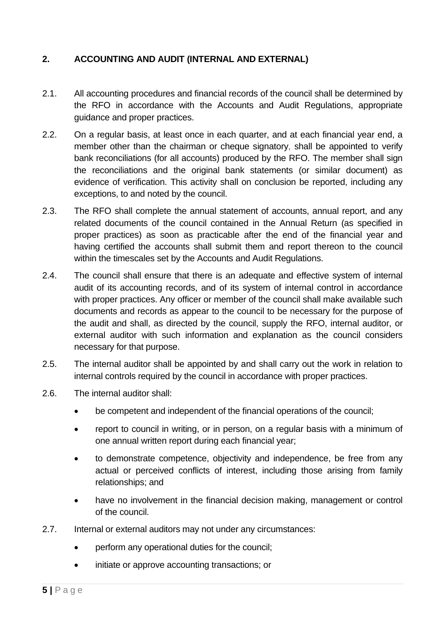## **2. ACCOUNTING AND AUDIT (INTERNAL AND EXTERNAL)**

- 2.1. All accounting procedures and financial records of the council shall be determined by the RFO in accordance with the Accounts and Audit Regulations, appropriate guidance and proper practices.
- 2.2. On a regular basis, at least once in each quarter, and at each financial year end, a member other than the chairman or cheque signatory, shall be appointed to verify bank reconciliations (for all accounts) produced by the RFO. The member shall sign the reconciliations and the original bank statements (or similar document) as evidence of verification. This activity shall on conclusion be reported, including any exceptions, to and noted by the council.
- 2.3. The RFO shall complete the annual statement of accounts, annual report, and any related documents of the council contained in the Annual Return (as specified in proper practices) as soon as practicable after the end of the financial year and having certified the accounts shall submit them and report thereon to the council within the timescales set by the Accounts and Audit Regulations.
- 2.4. The council shall ensure that there is an adequate and effective system of internal audit of its accounting records, and of its system of internal control in accordance with proper practices. Any officer or member of the council shall make available such documents and records as appear to the council to be necessary for the purpose of the audit and shall, as directed by the council, supply the RFO, internal auditor, or external auditor with such information and explanation as the council considers necessary for that purpose.
- 2.5. The internal auditor shall be appointed by and shall carry out the work in relation to internal controls required by the council in accordance with proper practices.
- 2.6. The internal auditor shall:
	- be competent and independent of the financial operations of the council;
	- report to council in writing, or in person, on a regular basis with a minimum of one annual written report during each financial year;
	- to demonstrate competence, objectivity and independence, be free from any actual or perceived conflicts of interest, including those arising from family relationships; and
	- have no involvement in the financial decision making, management or control of the council.
- 2.7. Internal or external auditors may not under any circumstances:
	- perform any operational duties for the council;
	- initiate or approve accounting transactions; or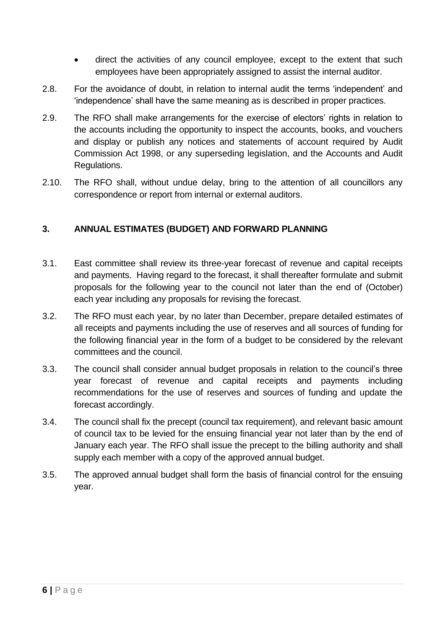- direct the activities of any council employee, except to the extent that such employees have been appropriately assigned to assist the internal auditor.
- 2.8. For the avoidance of doubt, in relation to internal audit the terms 'independent' and 'independence' shall have the same meaning as is described in proper practices.
- 2.9. The RFO shall make arrangements for the exercise of electors' rights in relation to the accounts including the opportunity to inspect the accounts, books, and vouchers and display or publish any notices and statements of account required by Audit Commission Act 1998, or any superseding legislation, and the Accounts and Audit Regulations.
- 2.10. The RFO shall, without undue delay, bring to the attention of all councillors any correspondence or report from internal or external auditors.

## <span id="page-5-0"></span>**3. ANNUAL ESTIMATES (BUDGET) AND FORWARD PLANNING**

- 3.1. East committee shall review its three-year forecast of revenue and capital receipts and payments. Having regard to the forecast, it shall thereafter formulate and submit proposals for the following year to the council not later than the end of (October) each year including any proposals for revising the forecast.
- 3.2. The RFO must each year, by no later than December, prepare detailed estimates of all receipts and payments including the use of reserves and all sources of funding for the following financial year in the form of a budget to be considered by the relevant committees and the council.
- 3.3. The council shall consider annual budget proposals in relation to the council's three year forecast of revenue and capital receipts and payments including recommendations for the use of reserves and sources of funding and update the forecast accordingly.
- 3.4. The council shall fix the precept (council tax requirement), and relevant basic amount of council tax to be levied for the ensuing financial year not later than by the end of January each year. The RFO shall issue the precept to the billing authority and shall supply each member with a copy of the approved annual budget.
- <span id="page-5-1"></span>3.5. The approved annual budget shall form the basis of financial control for the ensuing year.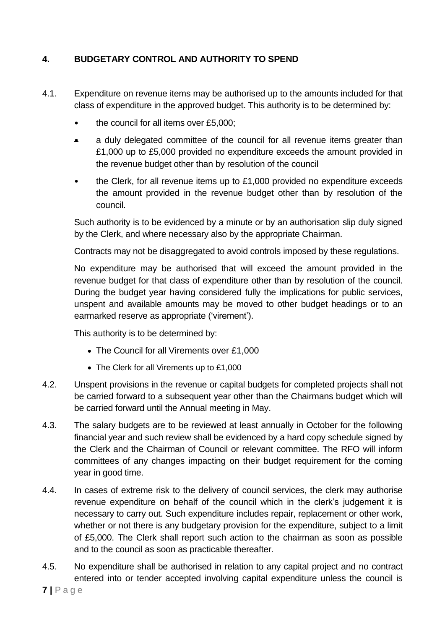# **4. BUDGETARY CONTROL AND AUTHORITY TO SPEND**

- 4.1. Expenditure on revenue items may be authorised up to the amounts included for that class of expenditure in the approved budget. This authority is to be determined by:
	- the council for all items over £5,000;
	- a duly delegated committee of the council for all revenue items greater than £1,000 up to £5,000 provided no expenditure exceeds the amount provided in the revenue budget other than by resolution of the council
	- the Clerk, for all revenue items up to  $£1,000$  provided no expenditure exceeds the amount provided in the revenue budget other than by resolution of the council.

Such authority is to be evidenced by a minute or by an authorisation slip duly signed by the Clerk, and where necessary also by the appropriate Chairman.

Contracts may not be disaggregated to avoid controls imposed by these regulations.

No expenditure may be authorised that will exceed the amount provided in the revenue budget for that class of expenditure other than by resolution of the council. During the budget year having considered fully the implications for public services, unspent and available amounts may be moved to other budget headings or to an earmarked reserve as appropriate ('virement').

This authority is to be determined by:

- The Council for all Virements over £1,000
- The Clerk for all Virements up to £1,000
- 4.2. Unspent provisions in the revenue or capital budgets for completed projects shall not be carried forward to a subsequent year other than the Chairmans budget which will be carried forward until the Annual meeting in May.
- 4.3. The salary budgets are to be reviewed at least annually in October for the following financial year and such review shall be evidenced by a hard copy schedule signed by the Clerk and the Chairman of Council or relevant committee. The RFO will inform committees of any changes impacting on their budget requirement for the coming year in good time.
- 4.4. In cases of extreme risk to the delivery of council services, the clerk may authorise revenue expenditure on behalf of the council which in the clerk's judgement it is necessary to carry out. Such expenditure includes repair, replacement or other work, whether or not there is any budgetary provision for the expenditure, subject to a limit of £5,000. The Clerk shall report such action to the chairman as soon as possible and to the council as soon as practicable thereafter.
- 4.5. No expenditure shall be authorised in relation to any capital project and no contract entered into or tender accepted involving capital expenditure unless the council is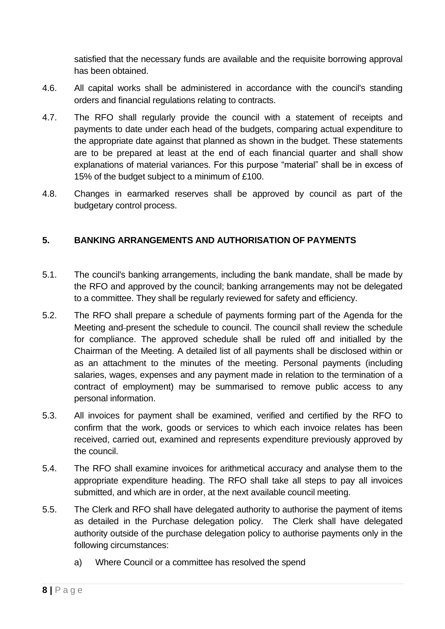satisfied that the necessary funds are available and the requisite borrowing approval has been obtained.

- 4.6. All capital works shall be administered in accordance with the council's standing orders and financial regulations relating to contracts.
- 4.7. The RFO shall regularly provide the council with a statement of receipts and payments to date under each head of the budgets, comparing actual expenditure to the appropriate date against that planned as shown in the budget. These statements are to be prepared at least at the end of each financial quarter and shall show explanations of material variances. For this purpose "material" shall be in excess of 15% of the budget subject to a minimum of £100.
- 4.8. Changes in earmarked reserves shall be approved by council as part of the budgetary control process.

## <span id="page-7-0"></span>**5. BANKING ARRANGEMENTS AND AUTHORISATION OF PAYMENTS**

- 5.1. The council's banking arrangements, including the bank mandate, shall be made by the RFO and approved by the council; banking arrangements may not be delegated to a committee. They shall be regularly reviewed for safety and efficiency.
- 5.2. The RFO shall prepare a schedule of payments forming part of the Agenda for the Meeting and present the schedule to council. The council shall review the schedule for compliance. The approved schedule shall be ruled off and initialled by the Chairman of the Meeting. A detailed list of all payments shall be disclosed within or as an attachment to the minutes of the meeting. Personal payments (including salaries, wages, expenses and any payment made in relation to the termination of a contract of employment) may be summarised to remove public access to any personal information.
- 5.3. All invoices for payment shall be examined, verified and certified by the RFO to confirm that the work, goods or services to which each invoice relates has been received, carried out, examined and represents expenditure previously approved by the council.
- 5.4. The RFO shall examine invoices for arithmetical accuracy and analyse them to the appropriate expenditure heading. The RFO shall take all steps to pay all invoices submitted, and which are in order, at the next available council meeting.
- 5.5. The Clerk and RFO shall have delegated authority to authorise the payment of items as detailed in the Purchase delegation policy. The Clerk shall have delegated authority outside of the purchase delegation policy to authorise payments only in the following circumstances:
	- a) Where Council or a committee has resolved the spend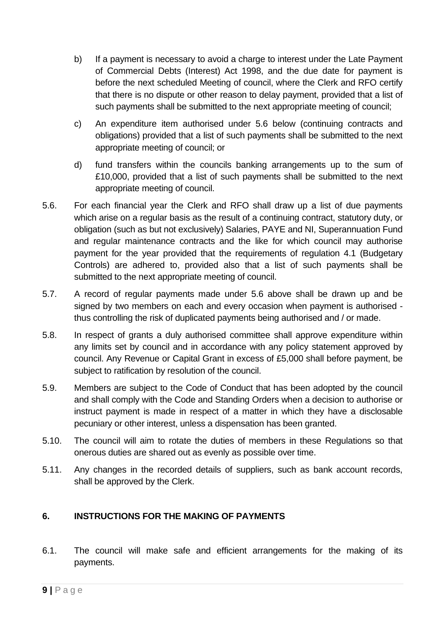- b) If a payment is necessary to avoid a charge to interest under the Late Payment of Commercial Debts (Interest) Act 1998, and the due date for payment is before the next scheduled Meeting of council, where the Clerk and RFO certify that there is no dispute or other reason to delay payment, provided that a list of such payments shall be submitted to the next appropriate meeting of council;
- c) An expenditure item authorised under 5.6 below (continuing contracts and obligations) provided that a list of such payments shall be submitted to the next appropriate meeting of council; or
- d) fund transfers within the councils banking arrangements up to the sum of £10,000, provided that a list of such payments shall be submitted to the next appropriate meeting of council.
- 5.6. For each financial year the Clerk and RFO shall draw up a list of due payments which arise on a regular basis as the result of a continuing contract, statutory duty, or obligation (such as but not exclusively) Salaries, PAYE and NI, Superannuation Fund and regular maintenance contracts and the like for which council may authorise payment for the year provided that the requirements of regulation 4.1 (Budgetary Controls) are adhered to, provided also that a list of such payments shall be submitted to the next appropriate meeting of council.
- 5.7. A record of regular payments made under 5.6 above shall be drawn up and be signed by two members on each and every occasion when payment is authorised thus controlling the risk of duplicated payments being authorised and / or made.
- 5.8. In respect of grants a duly authorised committee shall approve expenditure within any limits set by council and in accordance with any policy statement approved by council. Any Revenue or Capital Grant in excess of £5,000 shall before payment, be subject to ratification by resolution of the council.
- 5.9. Members are subject to the Code of Conduct that has been adopted by the council and shall comply with the Code and Standing Orders when a decision to authorise or instruct payment is made in respect of a matter in which they have a disclosable pecuniary or other interest, unless a dispensation has been granted.
- 5.10. The council will aim to rotate the duties of members in these Regulations so that onerous duties are shared out as evenly as possible over time.
- 5.11. Any changes in the recorded details of suppliers, such as bank account records, shall be approved by the Clerk.

# <span id="page-8-0"></span>**6. INSTRUCTIONS FOR THE MAKING OF PAYMENTS**

6.1. The council will make safe and efficient arrangements for the making of its payments.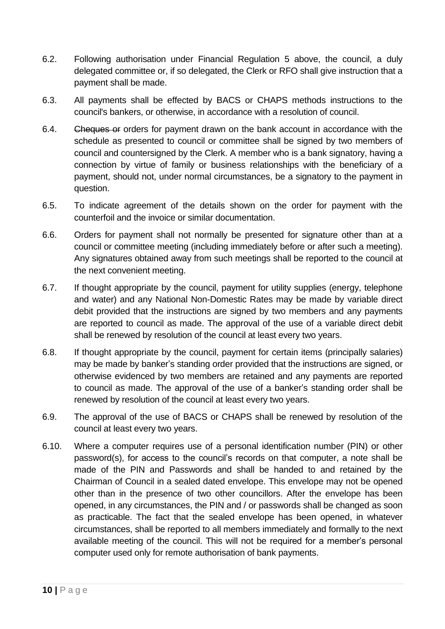- 6.2. Following authorisation under Financial Regulation 5 above, the council, a duly delegated committee or, if so delegated, the Clerk or RFO shall give instruction that a payment shall be made.
- 6.3. All payments shall be effected by BACS or CHAPS methods instructions to the council's bankers, or otherwise, in accordance with a resolution of council.
- 6.4. Cheques or orders for payment drawn on the bank account in accordance with the schedule as presented to council or committee shall be signed by two members of council and countersigned by the Clerk. A member who is a bank signatory, having a connection by virtue of family or business relationships with the beneficiary of a payment, should not, under normal circumstances, be a signatory to the payment in question.
- 6.5. To indicate agreement of the details shown on the order for payment with the counterfoil and the invoice or similar documentation.
- 6.6. Orders for payment shall not normally be presented for signature other than at a council or committee meeting (including immediately before or after such a meeting). Any signatures obtained away from such meetings shall be reported to the council at the next convenient meeting.
- 6.7. If thought appropriate by the council, payment for utility supplies (energy, telephone and water) and any National Non-Domestic Rates may be made by variable direct debit provided that the instructions are signed by two members and any payments are reported to council as made. The approval of the use of a variable direct debit shall be renewed by resolution of the council at least every two years.
- 6.8. If thought appropriate by the council, payment for certain items (principally salaries) may be made by banker's standing order provided that the instructions are signed, or otherwise evidenced by two members are retained and any payments are reported to council as made. The approval of the use of a banker's standing order shall be renewed by resolution of the council at least every two years.
- 6.9. The approval of the use of BACS or CHAPS shall be renewed by resolution of the council at least every two years.
- 6.10. Where a computer requires use of a personal identification number (PIN) or other password(s), for access to the council's records on that computer, a note shall be made of the PIN and Passwords and shall be handed to and retained by the Chairman of Council in a sealed dated envelope. This envelope may not be opened other than in the presence of two other councillors. After the envelope has been opened, in any circumstances, the PIN and / or passwords shall be changed as soon as practicable. The fact that the sealed envelope has been opened, in whatever circumstances, shall be reported to all members immediately and formally to the next available meeting of the council. This will not be required for a member's personal computer used only for remote authorisation of bank payments.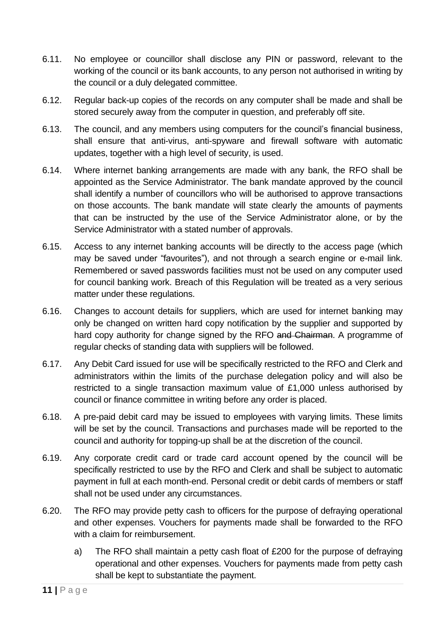- 6.11. No employee or councillor shall disclose any PIN or password, relevant to the working of the council or its bank accounts, to any person not authorised in writing by the council or a duly delegated committee.
- 6.12. Regular back-up copies of the records on any computer shall be made and shall be stored securely away from the computer in question, and preferably off site.
- 6.13. The council, and any members using computers for the council's financial business, shall ensure that anti-virus, anti-spyware and firewall software with automatic updates, together with a high level of security, is used.
- 6.14. Where internet banking arrangements are made with any bank, the RFO shall be appointed as the Service Administrator. The bank mandate approved by the council shall identify a number of councillors who will be authorised to approve transactions on those accounts. The bank mandate will state clearly the amounts of payments that can be instructed by the use of the Service Administrator alone, or by the Service Administrator with a stated number of approvals.
- 6.15. Access to any internet banking accounts will be directly to the access page (which may be saved under "favourites"), and not through a search engine or e-mail link. Remembered or saved passwords facilities must not be used on any computer used for council banking work. Breach of this Regulation will be treated as a very serious matter under these regulations.
- 6.16. Changes to account details for suppliers, which are used for internet banking may only be changed on written hard copy notification by the supplier and supported by hard copy authority for change signed by the RFO and Chairman. A programme of regular checks of standing data with suppliers will be followed.
- 6.17. Any Debit Card issued for use will be specifically restricted to the RFO and Clerk and administrators within the limits of the purchase delegation policy and will also be restricted to a single transaction maximum value of £1,000 unless authorised by council or finance committee in writing before any order is placed.
- 6.18. A pre-paid debit card may be issued to employees with varying limits. These limits will be set by the council. Transactions and purchases made will be reported to the council and authority for topping-up shall be at the discretion of the council.
- 6.19. Any corporate credit card or trade card account opened by the council will be specifically restricted to use by the RFO and Clerk and shall be subject to automatic payment in full at each month-end. Personal credit or debit cards of members or staff shall not be used under any circumstances.
- 6.20. The RFO may provide petty cash to officers for the purpose of defraying operational and other expenses. Vouchers for payments made shall be forwarded to the RFO with a claim for reimbursement.
	- a) The RFO shall maintain a petty cash float of £200 for the purpose of defraying operational and other expenses. Vouchers for payments made from petty cash shall be kept to substantiate the payment.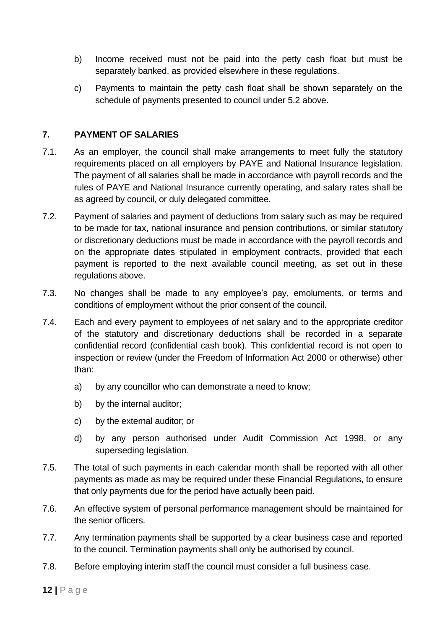- b) Income received must not be paid into the petty cash float but must be separately banked, as provided elsewhere in these regulations.
- c) Payments to maintain the petty cash float shall be shown separately on the schedule of payments presented to council under 5.2 above.

## <span id="page-11-0"></span>**7. PAYMENT OF SALARIES**

- 7.1. As an employer, the council shall make arrangements to meet fully the statutory requirements placed on all employers by PAYE and National Insurance legislation. The payment of all salaries shall be made in accordance with payroll records and the rules of PAYE and National Insurance currently operating, and salary rates shall be as agreed by council, or duly delegated committee.
- 7.2. Payment of salaries and payment of deductions from salary such as may be required to be made for tax, national insurance and pension contributions, or similar statutory or discretionary deductions must be made in accordance with the payroll records and on the appropriate dates stipulated in employment contracts, provided that each payment is reported to the next available council meeting, as set out in these regulations above.
- 7.3. No changes shall be made to any employee's pay, emoluments, or terms and conditions of employment without the prior consent of the council.
- 7.4. Each and every payment to employees of net salary and to the appropriate creditor of the statutory and discretionary deductions shall be recorded in a separate confidential record (confidential cash book). This confidential record is not open to inspection or review (under the Freedom of Information Act 2000 or otherwise) other than:
	- a) by any councillor who can demonstrate a need to know;
	- b) by the internal auditor;
	- c) by the external auditor; or
	- d) by any person authorised under Audit Commission Act 1998, or any superseding legislation.
- 7.5. The total of such payments in each calendar month shall be reported with all other payments as made as may be required under these Financial Regulations, to ensure that only payments due for the period have actually been paid.
- 7.6. An effective system of personal performance management should be maintained for the senior officers.
- 7.7. Any termination payments shall be supported by a clear business case and reported to the council. Termination payments shall only be authorised by council.
- 7.8. Before employing interim staff the council must consider a full business case.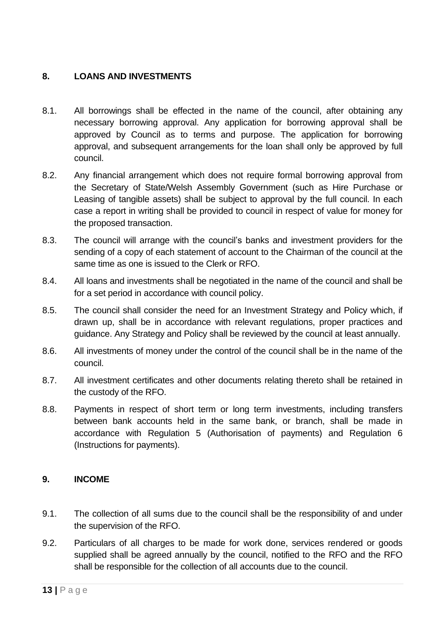# <span id="page-12-0"></span>**8. LOANS AND INVESTMENTS**

- 8.1. All borrowings shall be effected in the name of the council, after obtaining any necessary borrowing approval. Any application for borrowing approval shall be approved by Council as to terms and purpose. The application for borrowing approval, and subsequent arrangements for the loan shall only be approved by full council.
- 8.2. Any financial arrangement which does not require formal borrowing approval from the Secretary of State/Welsh Assembly Government (such as Hire Purchase or Leasing of tangible assets) shall be subject to approval by the full council. In each case a report in writing shall be provided to council in respect of value for money for the proposed transaction.
- 8.3. The council will arrange with the council's banks and investment providers for the sending of a copy of each statement of account to the Chairman of the council at the same time as one is issued to the Clerk or RFO.
- 8.4. All loans and investments shall be negotiated in the name of the council and shall be for a set period in accordance with council policy.
- 8.5. The council shall consider the need for an Investment Strategy and Policy which, if drawn up, shall be in accordance with relevant regulations, proper practices and guidance. Any Strategy and Policy shall be reviewed by the council at least annually.
- 8.6. All investments of money under the control of the council shall be in the name of the council.
- 8.7. All investment certificates and other documents relating thereto shall be retained in the custody of the RFO.
- 8.8. Payments in respect of short term or long term investments, including transfers between bank accounts held in the same bank, or branch, shall be made in accordance with Regulation 5 (Authorisation of payments) and Regulation 6 (Instructions for payments).

#### <span id="page-12-1"></span>**9. INCOME**

- 9.1. The collection of all sums due to the council shall be the responsibility of and under the supervision of the RFO.
- 9.2. Particulars of all charges to be made for work done, services rendered or goods supplied shall be agreed annually by the council, notified to the RFO and the RFO shall be responsible for the collection of all accounts due to the council.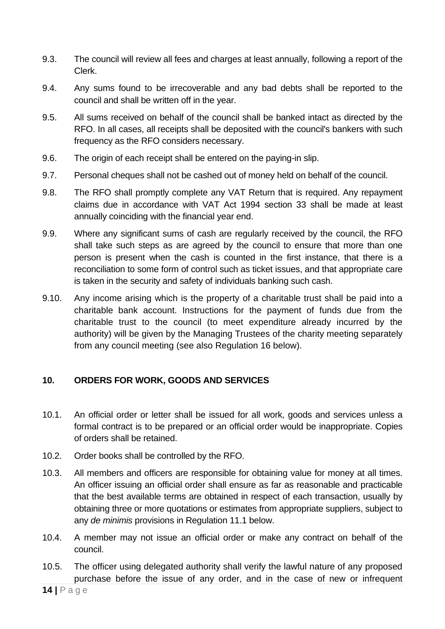- 9.3. The council will review all fees and charges at least annually, following a report of the Clerk.
- 9.4. Any sums found to be irrecoverable and any bad debts shall be reported to the council and shall be written off in the year.
- 9.5. All sums received on behalf of the council shall be banked intact as directed by the RFO. In all cases, all receipts shall be deposited with the council's bankers with such frequency as the RFO considers necessary.
- 9.6. The origin of each receipt shall be entered on the paying-in slip.
- 9.7. Personal cheques shall not be cashed out of money held on behalf of the council.
- 9.8. The RFO shall promptly complete any VAT Return that is required. Any repayment claims due in accordance with VAT Act 1994 section 33 shall be made at least annually coinciding with the financial year end.
- 9.9. Where any significant sums of cash are regularly received by the council, the RFO shall take such steps as are agreed by the council to ensure that more than one person is present when the cash is counted in the first instance, that there is a reconciliation to some form of control such as ticket issues, and that appropriate care is taken in the security and safety of individuals banking such cash.
- 9.10. Any income arising which is the property of a charitable trust shall be paid into a charitable bank account. Instructions for the payment of funds due from the charitable trust to the council (to meet expenditure already incurred by the authority) will be given by the Managing Trustees of the charity meeting separately from any council meeting (see also Regulation 16 below).

#### <span id="page-13-0"></span>**10. ORDERS FOR WORK, GOODS AND SERVICES**

- 10.1. An official order or letter shall be issued for all work, goods and services unless a formal contract is to be prepared or an official order would be inappropriate. Copies of orders shall be retained.
- 10.2. Order books shall be controlled by the RFO.
- 10.3. All members and officers are responsible for obtaining value for money at all times. An officer issuing an official order shall ensure as far as reasonable and practicable that the best available terms are obtained in respect of each transaction, usually by obtaining three or more quotations or estimates from appropriate suppliers, subject to any *de minimis* provisions in Regulation 11.1 below.
- 10.4. A member may not issue an official order or make any contract on behalf of the council.
- 10.5. The officer using delegated authority shall verify the lawful nature of any proposed purchase before the issue of any order, and in the case of new or infrequent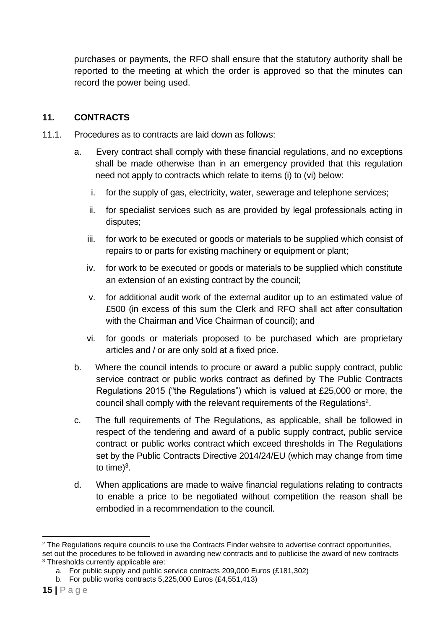purchases or payments, the RFO shall ensure that the statutory authority shall be reported to the meeting at which the order is approved so that the minutes can record the power being used.

## <span id="page-14-0"></span>**11. CONTRACTS**

- 11.1. Procedures as to contracts are laid down as follows:
	- a. Every contract shall comply with these financial regulations, and no exceptions shall be made otherwise than in an emergency provided that this regulation need not apply to contracts which relate to items (i) to (vi) below:
		- i. for the supply of gas, electricity, water, sewerage and telephone services;
		- ii. for specialist services such as are provided by legal professionals acting in disputes;
		- iii. for work to be executed or goods or materials to be supplied which consist of repairs to or parts for existing machinery or equipment or plant;
		- iv. for work to be executed or goods or materials to be supplied which constitute an extension of an existing contract by the council;
		- v. for additional audit work of the external auditor up to an estimated value of £500 (in excess of this sum the Clerk and RFO shall act after consultation with the Chairman and Vice Chairman of council); and
		- vi. for goods or materials proposed to be purchased which are proprietary articles and / or are only sold at a fixed price.
	- b. Where the council intends to procure or award a public supply contract, public service contract or public works contract as defined by The Public Contracts Regulations 2015 ("the Regulations") which is valued at £25,000 or more, the council shall comply with the relevant requirements of the Regulations<sup>2</sup>.
	- c. The full requirements of The Regulations, as applicable, shall be followed in respect of the tendering and award of a public supply contract, public service contract or public works contract which exceed thresholds in The Regulations set by the Public Contracts Directive 2014/24/EU (which may change from time to time) $3$ .
	- d. When applications are made to waive financial regulations relating to contracts to enable a price to be negotiated without competition the reason shall be embodied in a recommendation to the council.

<sup>&</sup>lt;sup>2</sup> The Regulations require councils to use the Contracts Finder website to advertise contract opportunities, set out the procedures to be followed in awarding new contracts and to publicise the award of new contracts <sup>3</sup> Thresholds currently applicable are:

a. For public supply and public service contracts 209,000 Euros (£181,302)

b. For public works contracts 5,225,000 Euros (£4,551,413)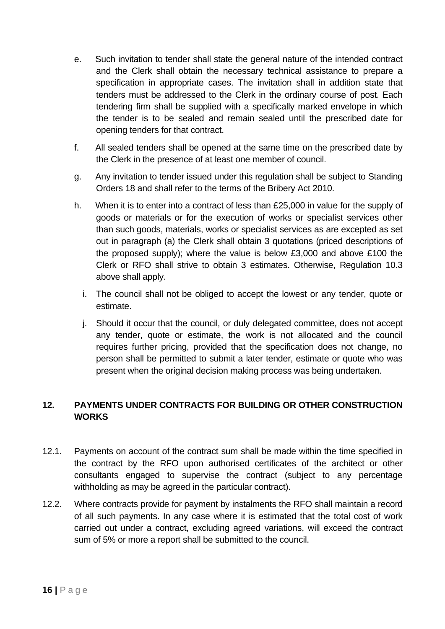- e. Such invitation to tender shall state the general nature of the intended contract and the Clerk shall obtain the necessary technical assistance to prepare a specification in appropriate cases. The invitation shall in addition state that tenders must be addressed to the Clerk in the ordinary course of post. Each tendering firm shall be supplied with a specifically marked envelope in which the tender is to be sealed and remain sealed until the prescribed date for opening tenders for that contract.
- f. All sealed tenders shall be opened at the same time on the prescribed date by the Clerk in the presence of at least one member of council.
- g. Any invitation to tender issued under this regulation shall be subject to Standing Orders 18 and shall refer to the terms of the Bribery Act 2010.
- h. When it is to enter into a contract of less than £25,000 in value for the supply of goods or materials or for the execution of works or specialist services other than such goods, materials, works or specialist services as are excepted as set out in paragraph (a) the Clerk shall obtain 3 quotations (priced descriptions of the proposed supply); where the value is below £3,000 and above £100 the Clerk or RFO shall strive to obtain 3 estimates. Otherwise, Regulation 10.3 above shall apply.
	- i. The council shall not be obliged to accept the lowest or any tender, quote or estimate.
	- j. Should it occur that the council, or duly delegated committee, does not accept any tender, quote or estimate, the work is not allocated and the council requires further pricing, provided that the specification does not change, no person shall be permitted to submit a later tender, estimate or quote who was present when the original decision making process was being undertaken.

## <span id="page-15-0"></span>**12. PAYMENTS UNDER CONTRACTS FOR BUILDING OR OTHER CONSTRUCTION WORKS**

- 12.1. Payments on account of the contract sum shall be made within the time specified in the contract by the RFO upon authorised certificates of the architect or other consultants engaged to supervise the contract (subject to any percentage withholding as may be agreed in the particular contract).
- 12.2. Where contracts provide for payment by instalments the RFO shall maintain a record of all such payments. In any case where it is estimated that the total cost of work carried out under a contract, excluding agreed variations, will exceed the contract sum of 5% or more a report shall be submitted to the council.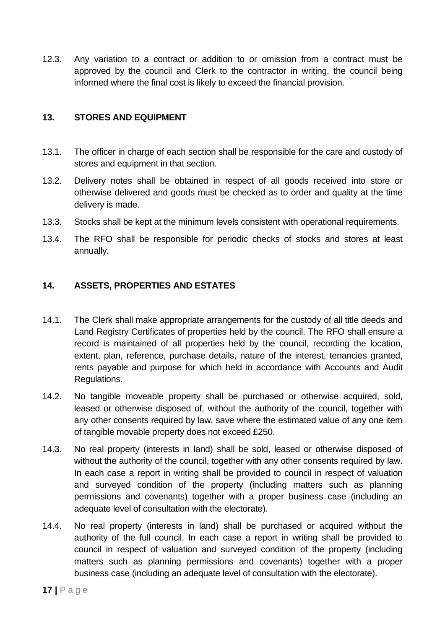12.3. Any variation to a contract or addition to or omission from a contract must be approved by the council and Clerk to the contractor in writing, the council being informed where the final cost is likely to exceed the financial provision.

#### <span id="page-16-0"></span>**13. STORES AND EQUIPMENT**

- 13.1. The officer in charge of each section shall be responsible for the care and custody of stores and equipment in that section.
- 13.2. Delivery notes shall be obtained in respect of all goods received into store or otherwise delivered and goods must be checked as to order and quality at the time delivery is made.
- 13.3. Stocks shall be kept at the minimum levels consistent with operational requirements.
- 13.4. The RFO shall be responsible for periodic checks of stocks and stores at least annually.

## <span id="page-16-1"></span>**14. ASSETS, PROPERTIES AND ESTATES**

- 14.1. The Clerk shall make appropriate arrangements for the custody of all title deeds and Land Registry Certificates of properties held by the council. The RFO shall ensure a record is maintained of all properties held by the council, recording the location, extent, plan, reference, purchase details, nature of the interest, tenancies granted, rents payable and purpose for which held in accordance with Accounts and Audit Regulations.
- 14.2. No tangible moveable property shall be purchased or otherwise acquired, sold, leased or otherwise disposed of, without the authority of the council, together with any other consents required by law, save where the estimated value of any one item of tangible movable property does not exceed £250.
- 14.3. No real property (interests in land) shall be sold, leased or otherwise disposed of without the authority of the council, together with any other consents required by law. In each case a report in writing shall be provided to council in respect of valuation and surveyed condition of the property (including matters such as planning permissions and covenants) together with a proper business case (including an adequate level of consultation with the electorate).
- 14.4. No real property (interests in land) shall be purchased or acquired without the authority of the full council. In each case a report in writing shall be provided to council in respect of valuation and surveyed condition of the property (including matters such as planning permissions and covenants) together with a proper business case (including an adequate level of consultation with the electorate).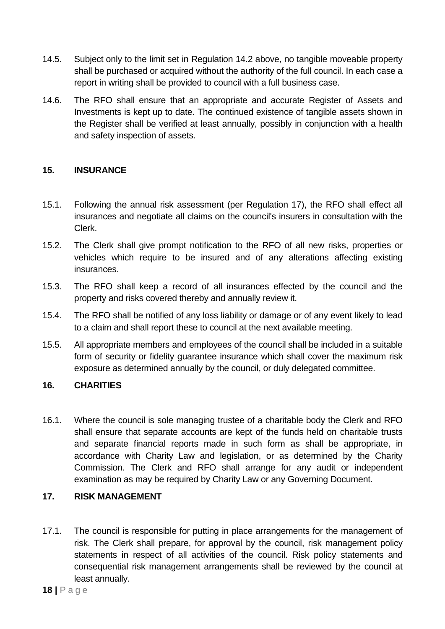- 14.5. Subject only to the limit set in Regulation 14.2 above, no tangible moveable property shall be purchased or acquired without the authority of the full council. In each case a report in writing shall be provided to council with a full business case.
- 14.6. The RFO shall ensure that an appropriate and accurate Register of Assets and Investments is kept up to date. The continued existence of tangible assets shown in the Register shall be verified at least annually, possibly in conjunction with a health and safety inspection of assets.

# <span id="page-17-0"></span>**15. INSURANCE**

- 15.1. Following the annual risk assessment (per Regulation 17), the RFO shall effect all insurances and negotiate all claims on the council's insurers in consultation with the Clerk.
- 15.2. The Clerk shall give prompt notification to the RFO of all new risks, properties or vehicles which require to be insured and of any alterations affecting existing insurances.
- 15.3. The RFO shall keep a record of all insurances effected by the council and the property and risks covered thereby and annually review it.
- 15.4. The RFO shall be notified of any loss liability or damage or of any event likely to lead to a claim and shall report these to council at the next available meeting.
- 15.5. All appropriate members and employees of the council shall be included in a suitable form of security or fidelity guarantee insurance which shall cover the maximum risk exposure as determined annually by the council, or duly delegated committee.

# <span id="page-17-1"></span>**16. CHARITIES**

16.1. Where the council is sole managing trustee of a charitable body the Clerk and RFO shall ensure that separate accounts are kept of the funds held on charitable trusts and separate financial reports made in such form as shall be appropriate, in accordance with Charity Law and legislation, or as determined by the Charity Commission. The Clerk and RFO shall arrange for any audit or independent examination as may be required by Charity Law or any Governing Document.

# <span id="page-17-2"></span>**17. RISK MANAGEMENT**

17.1. The council is responsible for putting in place arrangements for the management of risk. The Clerk shall prepare, for approval by the council, risk management policy statements in respect of all activities of the council. Risk policy statements and consequential risk management arrangements shall be reviewed by the council at least annually.